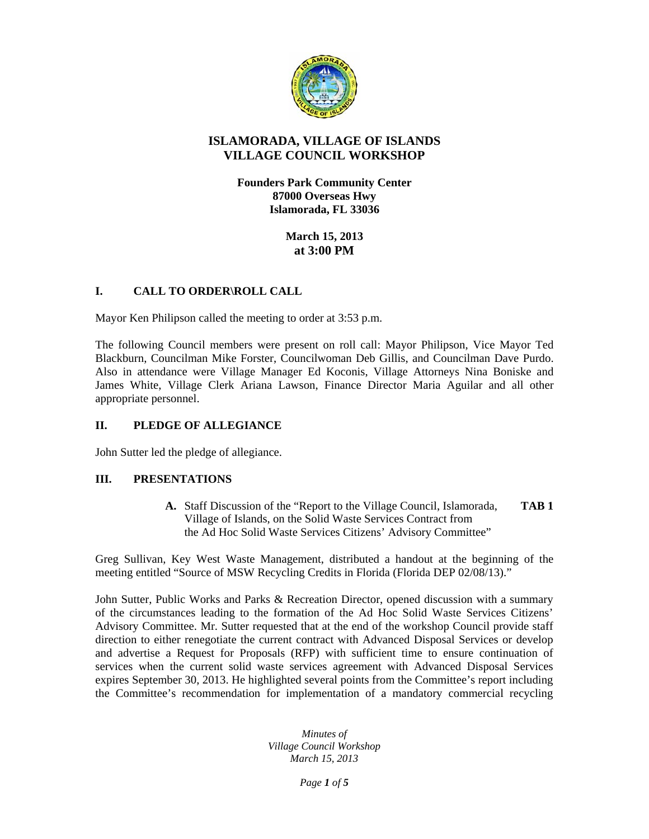

## **ISLAMORADA, VILLAGE OF ISLANDS VILLAGE COUNCIL WORKSHOP**

**Founders Park Community Center 87000 Overseas Hwy Islamorada, FL 33036** 

> **March 15, 2013 at 3:00 PM**

# **I. CALL TO ORDER\ROLL CALL**

Mayor Ken Philipson called the meeting to order at 3:53 p.m.

The following Council members were present on roll call: Mayor Philipson, Vice Mayor Ted Blackburn, Councilman Mike Forster, Councilwoman Deb Gillis, and Councilman Dave Purdo. Also in attendance were Village Manager Ed Koconis, Village Attorneys Nina Boniske and James White, Village Clerk Ariana Lawson, Finance Director Maria Aguilar and all other appropriate personnel.

## **II. PLEDGE OF ALLEGIANCE**

John Sutter led the pledge of allegiance.

## **III. PRESENTATIONS**

**A.** Staff Discussion of the "Report to the Village Council, Islamorada, **TAB 1**  Village of Islands, on the Solid Waste Services Contract from the Ad Hoc Solid Waste Services Citizens' Advisory Committee"

Greg Sullivan, Key West Waste Management, distributed a handout at the beginning of the meeting entitled "Source of MSW Recycling Credits in Florida (Florida DEP 02/08/13)."

John Sutter, Public Works and Parks & Recreation Director, opened discussion with a summary of the circumstances leading to the formation of the Ad Hoc Solid Waste Services Citizens' Advisory Committee. Mr. Sutter requested that at the end of the workshop Council provide staff direction to either renegotiate the current contract with Advanced Disposal Services or develop and advertise a Request for Proposals (RFP) with sufficient time to ensure continuation of services when the current solid waste services agreement with Advanced Disposal Services expires September 30, 2013. He highlighted several points from the Committee's report including the Committee's recommendation for implementation of a mandatory commercial recycling

> *Minutes of Village Council Workshop March 15, 2013*

> > *Page 1 of 5*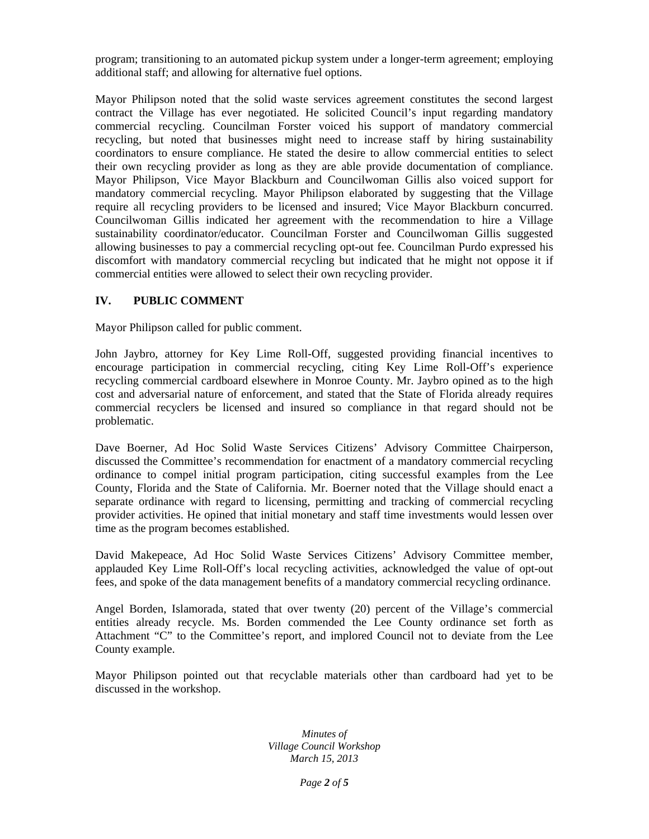program; transitioning to an automated pickup system under a longer-term agreement; employing additional staff; and allowing for alternative fuel options.

Mayor Philipson noted that the solid waste services agreement constitutes the second largest contract the Village has ever negotiated. He solicited Council's input regarding mandatory commercial recycling. Councilman Forster voiced his support of mandatory commercial recycling, but noted that businesses might need to increase staff by hiring sustainability coordinators to ensure compliance. He stated the desire to allow commercial entities to select their own recycling provider as long as they are able provide documentation of compliance. Mayor Philipson, Vice Mayor Blackburn and Councilwoman Gillis also voiced support for mandatory commercial recycling. Mayor Philipson elaborated by suggesting that the Village require all recycling providers to be licensed and insured; Vice Mayor Blackburn concurred. Councilwoman Gillis indicated her agreement with the recommendation to hire a Village sustainability coordinator/educator. Councilman Forster and Councilwoman Gillis suggested allowing businesses to pay a commercial recycling opt-out fee. Councilman Purdo expressed his discomfort with mandatory commercial recycling but indicated that he might not oppose it if commercial entities were allowed to select their own recycling provider.

## **IV. PUBLIC COMMENT**

Mayor Philipson called for public comment.

John Jaybro, attorney for Key Lime Roll-Off, suggested providing financial incentives to encourage participation in commercial recycling, citing Key Lime Roll-Off's experience recycling commercial cardboard elsewhere in Monroe County. Mr. Jaybro opined as to the high cost and adversarial nature of enforcement, and stated that the State of Florida already requires commercial recyclers be licensed and insured so compliance in that regard should not be problematic.

Dave Boerner, Ad Hoc Solid Waste Services Citizens' Advisory Committee Chairperson, discussed the Committee's recommendation for enactment of a mandatory commercial recycling ordinance to compel initial program participation, citing successful examples from the Lee County, Florida and the State of California. Mr. Boerner noted that the Village should enact a separate ordinance with regard to licensing, permitting and tracking of commercial recycling provider activities. He opined that initial monetary and staff time investments would lessen over time as the program becomes established.

David Makepeace, Ad Hoc Solid Waste Services Citizens' Advisory Committee member, applauded Key Lime Roll-Off's local recycling activities, acknowledged the value of opt-out fees, and spoke of the data management benefits of a mandatory commercial recycling ordinance.

Angel Borden, Islamorada, stated that over twenty (20) percent of the Village's commercial entities already recycle. Ms. Borden commended the Lee County ordinance set forth as Attachment "C" to the Committee's report, and implored Council not to deviate from the Lee County example.

Mayor Philipson pointed out that recyclable materials other than cardboard had yet to be discussed in the workshop.

> *Minutes of Village Council Workshop March 15, 2013*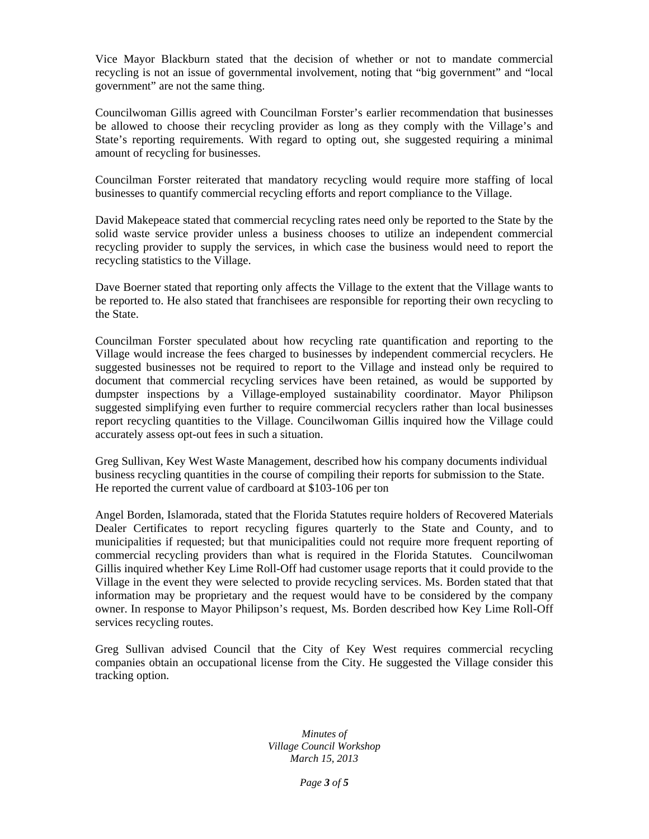Vice Mayor Blackburn stated that the decision of whether or not to mandate commercial recycling is not an issue of governmental involvement, noting that "big government" and "local government" are not the same thing.

Councilwoman Gillis agreed with Councilman Forster's earlier recommendation that businesses be allowed to choose their recycling provider as long as they comply with the Village's and State's reporting requirements. With regard to opting out, she suggested requiring a minimal amount of recycling for businesses.

Councilman Forster reiterated that mandatory recycling would require more staffing of local businesses to quantify commercial recycling efforts and report compliance to the Village.

David Makepeace stated that commercial recycling rates need only be reported to the State by the solid waste service provider unless a business chooses to utilize an independent commercial recycling provider to supply the services, in which case the business would need to report the recycling statistics to the Village.

Dave Boerner stated that reporting only affects the Village to the extent that the Village wants to be reported to. He also stated that franchisees are responsible for reporting their own recycling to the State.

Councilman Forster speculated about how recycling rate quantification and reporting to the Village would increase the fees charged to businesses by independent commercial recyclers. He suggested businesses not be required to report to the Village and instead only be required to document that commercial recycling services have been retained, as would be supported by dumpster inspections by a Village-employed sustainability coordinator. Mayor Philipson suggested simplifying even further to require commercial recyclers rather than local businesses report recycling quantities to the Village. Councilwoman Gillis inquired how the Village could accurately assess opt-out fees in such a situation.

Greg Sullivan, Key West Waste Management, described how his company documents individual business recycling quantities in the course of compiling their reports for submission to the State. He reported the current value of cardboard at \$103-106 per ton

Angel Borden, Islamorada, stated that the Florida Statutes require holders of Recovered Materials Dealer Certificates to report recycling figures quarterly to the State and County, and to municipalities if requested; but that municipalities could not require more frequent reporting of commercial recycling providers than what is required in the Florida Statutes. Councilwoman Gillis inquired whether Key Lime Roll-Off had customer usage reports that it could provide to the Village in the event they were selected to provide recycling services. Ms. Borden stated that that information may be proprietary and the request would have to be considered by the company owner. In response to Mayor Philipson's request, Ms. Borden described how Key Lime Roll-Off services recycling routes.

Greg Sullivan advised Council that the City of Key West requires commercial recycling companies obtain an occupational license from the City. He suggested the Village consider this tracking option.

> *Minutes of Village Council Workshop March 15, 2013*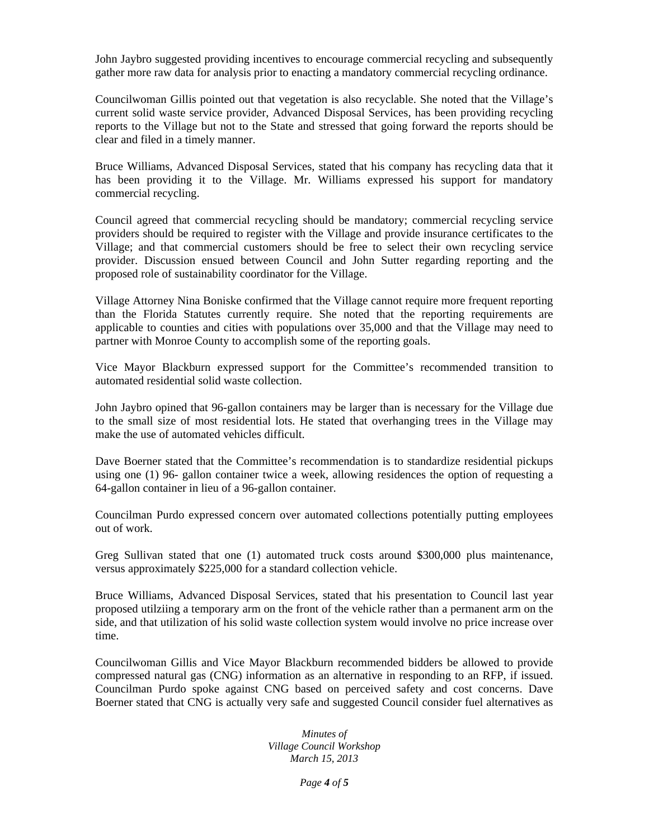John Jaybro suggested providing incentives to encourage commercial recycling and subsequently gather more raw data for analysis prior to enacting a mandatory commercial recycling ordinance.

Councilwoman Gillis pointed out that vegetation is also recyclable. She noted that the Village's current solid waste service provider, Advanced Disposal Services, has been providing recycling reports to the Village but not to the State and stressed that going forward the reports should be clear and filed in a timely manner.

Bruce Williams, Advanced Disposal Services, stated that his company has recycling data that it has been providing it to the Village. Mr. Williams expressed his support for mandatory commercial recycling.

Council agreed that commercial recycling should be mandatory; commercial recycling service providers should be required to register with the Village and provide insurance certificates to the Village; and that commercial customers should be free to select their own recycling service provider. Discussion ensued between Council and John Sutter regarding reporting and the proposed role of sustainability coordinator for the Village.

Village Attorney Nina Boniske confirmed that the Village cannot require more frequent reporting than the Florida Statutes currently require. She noted that the reporting requirements are applicable to counties and cities with populations over 35,000 and that the Village may need to partner with Monroe County to accomplish some of the reporting goals.

Vice Mayor Blackburn expressed support for the Committee's recommended transition to automated residential solid waste collection.

John Jaybro opined that 96-gallon containers may be larger than is necessary for the Village due to the small size of most residential lots. He stated that overhanging trees in the Village may make the use of automated vehicles difficult.

Dave Boerner stated that the Committee's recommendation is to standardize residential pickups using one (1) 96- gallon container twice a week, allowing residences the option of requesting a 64-gallon container in lieu of a 96-gallon container.

Councilman Purdo expressed concern over automated collections potentially putting employees out of work.

Greg Sullivan stated that one (1) automated truck costs around \$300,000 plus maintenance, versus approximately \$225,000 for a standard collection vehicle.

Bruce Williams, Advanced Disposal Services, stated that his presentation to Council last year proposed utilziing a temporary arm on the front of the vehicle rather than a permanent arm on the side, and that utilization of his solid waste collection system would involve no price increase over time.

Councilwoman Gillis and Vice Mayor Blackburn recommended bidders be allowed to provide compressed natural gas (CNG) information as an alternative in responding to an RFP, if issued. Councilman Purdo spoke against CNG based on perceived safety and cost concerns. Dave Boerner stated that CNG is actually very safe and suggested Council consider fuel alternatives as

> *Minutes of Village Council Workshop March 15, 2013*

> > *Page 4 of 5*